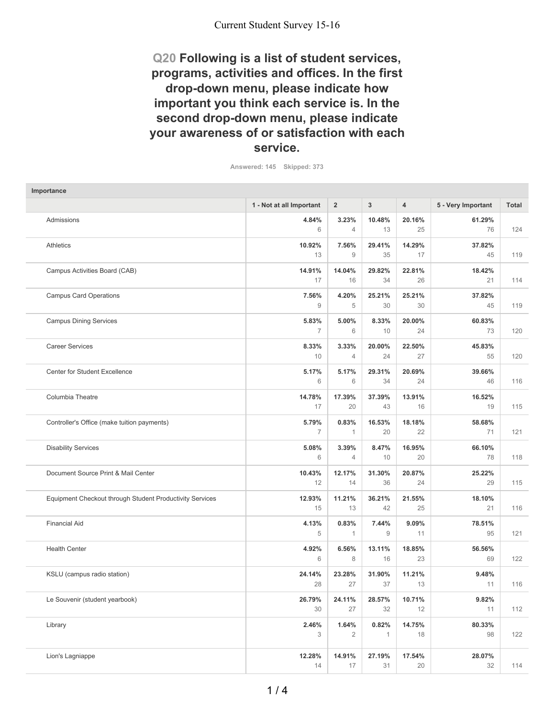# **Q20 Following is a list of student services, programs, activities and offices. In the first drop-down menu, please indicate how important you think each service is. In the second drop-down menu, please indicate your awareness of or satisfaction with each service.**

**Answered: 145 Skipped: 373**

| Importance                                               |                          |                         |                       |                |                    |              |
|----------------------------------------------------------|--------------------------|-------------------------|-----------------------|----------------|--------------------|--------------|
|                                                          | 1 - Not at all Important | $\overline{2}$          | 3                     | $\overline{4}$ | 5 - Very Important | <b>Total</b> |
| Admissions                                               | 4.84%<br>6               | 3.23%<br>$\overline{4}$ | 10.48%<br>13          | 20.16%<br>25   | 61.29%<br>76       | 124          |
| <b>Athletics</b>                                         | 10.92%<br>13             | 7.56%<br>$\overline{9}$ | 29.41%<br>35          | 14.29%<br>17   | 37.82%<br>45       | 119          |
| Campus Activities Board (CAB)                            | 14.91%<br>17             | 14.04%<br>16            | 29.82%<br>34          | 22.81%<br>26   | 18.42%<br>21       | 114          |
| <b>Campus Card Operations</b>                            | 7.56%<br>9               | 4.20%<br>5              | 25.21%<br>30          | 25.21%<br>30   | 37.82%<br>45       | 119          |
| <b>Campus Dining Services</b>                            | 5.83%<br>7               | 5.00%<br>6              | 8.33%<br>10           | 20.00%<br>24   | 60.83%<br>73       | 120          |
| <b>Career Services</b>                                   | 8.33%<br>10              | 3.33%<br>$\overline{4}$ | 20.00%<br>24          | 22.50%<br>27   | 45.83%<br>55       | 120          |
| <b>Center for Student Excellence</b>                     | 5.17%<br>6               | 5.17%<br>6              | 29.31%<br>34          | 20.69%<br>24   | 39.66%<br>46       | 116          |
| Columbia Theatre                                         | 14.78%<br>17             | 17.39%<br>20            | 37.39%<br>43          | 13.91%<br>16   | 16.52%<br>19       | 115          |
| Controller's Office (make tuition payments)              | 5.79%<br>$\overline{7}$  | 0.83%<br>$\mathbf{1}$   | 16.53%<br>20          | 18.18%<br>22   | 58.68%<br>71       | 121          |
| <b>Disability Services</b>                               | 5.08%<br>6               | 3.39%<br>$\overline{4}$ | 8.47%<br>10           | 16.95%<br>20   | 66.10%<br>78       | 118          |
| Document Source Print & Mail Center                      | 10.43%<br>12             | 12.17%<br>14            | 31.30%<br>36          | 20.87%<br>24   | 25.22%<br>29       | 115          |
| Equipment Checkout through Student Productivity Services | 12.93%<br>15             | 11.21%<br>13            | 36.21%<br>42          | 21.55%<br>25   | 18.10%<br>21       | 116          |
| <b>Financial Aid</b>                                     | 4.13%<br>5               | 0.83%<br>$\mathbf{1}$   | 7.44%<br>9            | 9.09%<br>11    | 78.51%<br>95       | 121          |
| <b>Health Center</b>                                     | 4.92%<br>6               | 6.56%<br>8              | 13.11%<br>16          | 18.85%<br>23   | 56.56%<br>69       | 122          |
| KSLU (campus radio station)                              | 24.14%<br>28             | 23.28%<br>27            | 31.90%<br>37          | 11.21%<br>13   | 9.48%<br>11        | 116          |
| Le Souvenir (student yearbook)                           | 26.79%<br>30             | 24.11%<br>27            | 28.57%<br>32          | 10.71%<br>12   | 9.82%<br>11        | 112          |
| Library                                                  | 2.46%<br>3               | 1.64%<br>$\overline{2}$ | 0.82%<br>$\mathbf{1}$ | 14.75%<br>18   | 80.33%<br>98       | 122          |
| Lion's Lagniappe                                         | 12.28%<br>14             | 14.91%<br>17            | 27.19%<br>31          | 17.54%<br>20   | 28.07%<br>32       | 114          |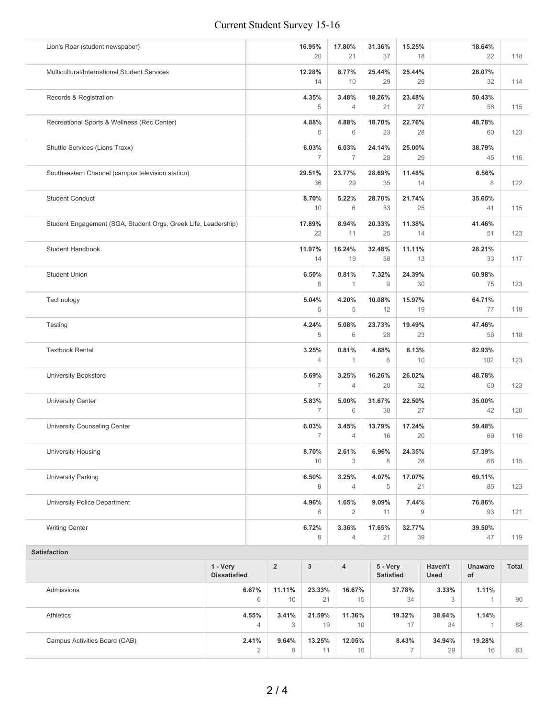## Current Student Survey 15-16

| Lion's Roar (student newspaper)                                | 16.95%<br>20            | 17.80%<br>21            | 31.36%<br>37 | 15.25%<br>18 | 18.64%<br>22  | 118 |
|----------------------------------------------------------------|-------------------------|-------------------------|--------------|--------------|---------------|-----|
| Multicultural/International Student Services                   | 12.28%<br>14            | 8.77%<br>10             | 25.44%<br>29 | 25.44%<br>29 | 28.07%<br>32  | 114 |
| Records & Registration                                         | 4.35%<br>5              | 3.48%<br>$\overline{4}$ | 18.26%<br>21 | 23.48%<br>27 | 50.43%<br>58  | 115 |
| Recreational Sports & Wellness (Rec Center)                    | 4.88%<br>6              | 4.88%<br>6              | 18.70%<br>23 | 22.76%<br>28 | 48.78%<br>60  | 123 |
| Shuttle Services (Lions Traxx)                                 | 6.03%<br>7              | 6.03%<br>7              | 24.14%<br>28 | 25.00%<br>29 | 38.79%<br>45  | 116 |
| Southeastern Channel (campus television station)               | 29.51%<br>36            | 23.77%<br>29            | 28.69%<br>35 | 11.48%<br>14 | 6.56%<br>8    | 122 |
| <b>Student Conduct</b>                                         | 8.70%<br>10             | 5.22%<br>6              | 28.70%<br>33 | 21.74%<br>25 | 35.65%<br>41  | 115 |
| Student Engagement (SGA, Student Orgs, Greek Life, Leadership) | 17.89%<br>22            | 8.94%<br>11             | 20.33%<br>25 | 11.38%<br>14 | 41.46%<br>51  | 123 |
| <b>Student Handbook</b>                                        | 11.97%<br>14            | 16.24%<br>19            | 32.48%<br>38 | 11.11%<br>13 | 28.21%<br>33  | 117 |
| <b>Student Union</b>                                           | 6.50%<br>8              | 0.81%<br>$\mathbf{1}$   | 7.32%<br>9   | 24.39%<br>30 | 60.98%<br>75  | 123 |
| Technology                                                     | 5.04%<br>6              | 4.20%<br>5              | 10.08%<br>12 | 15.97%<br>19 | 64.71%<br>77  | 119 |
| Testing                                                        | 4.24%<br>5              | 5.08%<br>6              | 23.73%<br>28 | 19.49%<br>23 | 47.46%<br>56  | 118 |
| <b>Textbook Rental</b>                                         | 3.25%<br>4              | 0.81%<br>$\mathbf{1}$   | 4.88%<br>6   | 8.13%<br>10  | 82.93%<br>102 | 123 |
| <b>University Bookstore</b>                                    | 5.69%<br>7              | 3.25%<br>4              | 16.26%<br>20 | 26.02%<br>32 | 48.78%<br>60  | 123 |
| <b>University Center</b>                                       | 5.83%<br>$\overline{7}$ | 5.00%<br>6              | 31.67%<br>38 | 22.50%<br>27 | 35.00%<br>42  | 120 |
| University Counseling Center                                   | 6.03%<br>$\overline{7}$ | 3.45%<br>4              | 13.79%<br>16 | 17.24%<br>20 | 59.48%<br>69  | 116 |
| <b>University Housing</b>                                      | 8.70%<br>10             | 2.61%<br>3              | 6.96%<br>8   | 24.35%<br>28 | 57.39%<br>66  | 115 |
| <b>University Parking</b>                                      | 6.50%<br>8              | 3.25%<br>4              | 4.07%<br>5   | 17.07%<br>21 | 69.11%<br>85  | 123 |
| University Police Department                                   | 4.96%<br>6              | 1.65%<br>$\overline{2}$ | 9.09%<br>11  | 7.44%<br>9   | 76.86%<br>93  | 121 |
| <b>Writing Center</b>                                          | 6.72%<br>8              | 3.36%<br>4              | 17.65%<br>21 | 32.77%<br>39 | 39.50%<br>47  | 119 |
|                                                                |                         |                         |              |              |               |     |

### **Satisfaction**

|                               | 1 - Very<br><b>Dissatisfied</b> | $\overline{2}$ | 3      | $\overline{4}$ | 5 - Very<br><b>Satisfied</b> | Haven't<br><b>Used</b> | <b>Unaware</b><br>of | <b>Total</b> |
|-------------------------------|---------------------------------|----------------|--------|----------------|------------------------------|------------------------|----------------------|--------------|
| Admissions                    | 6.67%                           | 11.11%         | 23.33% | 16.67%         | 37.78%                       | 3.33%                  | 1.11%                |              |
|                               | 6                               | 10             | 21     | 15             | 34                           | 3                      |                      | 90           |
| Athletics                     | 4.55%                           | 3.41%          | 21.59% | 11.36%         | 19.32%                       | 38.64%                 | 1.14%                |              |
|                               | 4                               | 3              | 19     | 10             | 17                           | 34                     |                      | 88           |
| Campus Activities Board (CAB) | 2.41%                           | 9.64%          | 13.25% | 12.05%         | 8.43%                        | 34.94%                 | 19.28%               |              |
|                               | $\Omega$<br>∠                   | 8              | 11     | 10             |                              | 29                     | 16                   | 83           |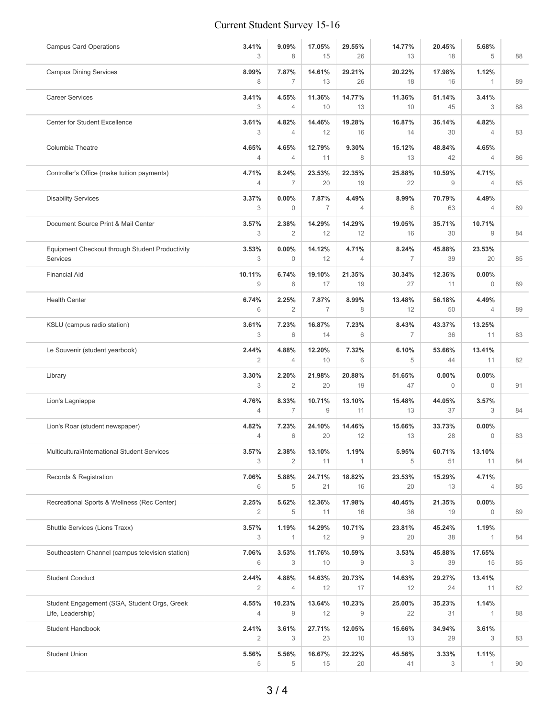## Current Student Survey 15-16

| <b>Campus Card Operations</b>                                     | 3.41%<br>3  | 9.09%<br>8              | 17.05%<br>15            | 29.55%<br>26            | 14.77%<br>13            | 20.45%<br>18         | 5.68%<br>5                 | 88 |
|-------------------------------------------------------------------|-------------|-------------------------|-------------------------|-------------------------|-------------------------|----------------------|----------------------------|----|
| <b>Campus Dining Services</b>                                     | 8.99%<br>8  | 7.87%<br>$\overline{7}$ | 14.61%<br>13            | 29.21%<br>26            | 20.22%<br>18            | 17.98%<br>16         | 1.12%<br>$\mathbf{1}$      | 89 |
| <b>Career Services</b>                                            | 3.41%<br>3  | 4.55%<br>$\overline{4}$ | 11.36%<br>10            | 14.77%<br>13            | 11.36%<br>10            | 51.14%<br>45         | 3.41%<br>3                 | 88 |
| <b>Center for Student Excellence</b>                              | 3.61%<br>3  | 4.82%<br>$\overline{4}$ | 14.46%<br>12            | 19.28%<br>16            | 16.87%<br>14            | 36.14%<br>30         | 4.82%<br>4                 | 83 |
| Columbia Theatre                                                  | 4.65%<br>4  | 4.65%<br>$\overline{4}$ | 12.79%<br>11            | 9.30%<br>8              | 15.12%<br>13            | 48.84%<br>42         | 4.65%<br>4                 | 86 |
| Controller's Office (make tuition payments)                       | 4.71%<br>4  | 8.24%<br>$\overline{7}$ | 23.53%<br>20            | 22.35%<br>19            | 25.88%<br>22            | 10.59%<br>9          | 4.71%<br>$\overline{4}$    | 85 |
| <b>Disability Services</b>                                        | 3.37%<br>3  | $0.00\%$<br>$\Omega$    | 7.87%<br>7              | 4.49%<br>4              | 8.99%<br>8              | 70.79%<br>63         | 4.49%<br>$\overline{4}$    | 89 |
| Document Source Print & Mail Center                               | 3.57%<br>3  | 2.38%<br>$\overline{2}$ | 14.29%<br>12            | 14.29%<br>12            | 19.05%<br>16            | 35.71%<br>30         | 10.71%<br>9                | 84 |
| Equipment Checkout through Student Productivity<br>Services       | 3.53%<br>3  | 0.00%<br>$\mathbf{0}$   | 14.12%<br>12            | 4.71%<br>$\overline{4}$ | 8.24%<br>$\overline{7}$ | 45.88%<br>39         | 23.53%<br>20               | 85 |
| <b>Financial Aid</b>                                              | 10.11%<br>9 | 6.74%<br>6              | 19.10%<br>17            | 21.35%<br>19            | 30.34%<br>27            | 12.36%<br>11         | 0.00%<br>$\Omega$          | 89 |
| <b>Health Center</b>                                              | 6.74%<br>6  | 2.25%<br>2              | 7.87%<br>$\overline{7}$ | 8.99%<br>8              | 13.48%<br>12            | 56.18%<br>50         | 4.49%<br>4                 | 89 |
| KSLU (campus radio station)                                       | 3.61%<br>3  | 7.23%<br>6              | 16.87%<br>14            | 7.23%<br>6              | 8.43%<br>$\overline{7}$ | 43.37%<br>36         | 13.25%<br>11               | 83 |
| Le Souvenir (student yearbook)                                    | 2.44%<br>2  | 4.88%<br>$\overline{4}$ | 12.20%<br>10            | 7.32%<br>6              | 6.10%<br>5              | 53.66%<br>44         | 13.41%<br>11               | 82 |
| Library                                                           | 3.30%<br>3  | 2.20%<br>2              | 21.98%<br>20            | 20.88%<br>19            | 51.65%<br>47            | 0.00%<br>$\mathbf 0$ | $0.00\%$<br>$\mathbf{0}$   | 91 |
| Lion's Lagniappe                                                  | 4.76%<br>4  | 8.33%<br>$\overline{7}$ | 10.71%<br>9             | 13.10%<br>11            | 15.48%<br>13            | 44.05%<br>37         | 3.57%<br>3                 | 84 |
| Lion's Roar (student newspaper)                                   | 4.82%<br>4  | 7.23%<br>6              | 24.10%<br>20            | 14.46%<br>12            | 15.66%<br>13            | 33.73%<br>28         | $0.00\%$<br>$\overline{0}$ | 83 |
| Multicultural/International Student Services                      | 3.57%<br>3  | 2.38%<br>$\overline{2}$ | 13.10%<br>11            | 1.19%                   | 5.95%<br>5              | 60.71%<br>51         | 13.10%<br>11               | 84 |
| Records & Registration                                            | 7.06%<br>6  | 5.88%<br>5              | 24.71%<br>21            | 18.82%<br>16            | 23.53%<br>20            | 15.29%<br>13         | 4.71%<br>4                 | 85 |
| Recreational Sports & Wellness (Rec Center)                       | 2.25%<br>2  | 5.62%<br>5              | 12.36%<br>11            | 17.98%<br>16            | 40.45%<br>36            | 21.35%<br>19         | $0.00\%$<br>0              | 89 |
| Shuttle Services (Lions Traxx)                                    | 3.57%<br>3  | 1.19%<br>1              | 14.29%<br>12            | 10.71%<br>9             | 23.81%<br>20            | 45.24%<br>38         | 1.19%<br>$\mathbf{1}$      | 84 |
| Southeastern Channel (campus television station)                  | 7.06%<br>6  | 3.53%<br>3              | 11.76%<br>10            | 10.59%<br>9             | 3.53%<br>3              | 45.88%<br>39         | 17.65%<br>15               | 85 |
| <b>Student Conduct</b>                                            | 2.44%<br>2  | 4.88%<br>4              | 14.63%<br>12            | 20.73%<br>17            | 14.63%<br>12            | 29.27%<br>24         | 13.41%<br>11               | 82 |
| Student Engagement (SGA, Student Orgs, Greek<br>Life, Leadership) | 4.55%<br>4  | 10.23%<br>9             | 13.64%<br>12            | 10.23%<br>9             | 25.00%<br>22            | 35.23%<br>31         | 1.14%<br>$\mathbf{1}$      | 88 |
| Student Handbook                                                  | 2.41%<br>2  | 3.61%<br>3              | 27.71%<br>23            | 12.05%<br>10            | 15.66%<br>13            | 34.94%<br>29         | 3.61%<br>3                 | 83 |
| <b>Student Union</b>                                              | 5.56%<br>5  | 5.56%<br>5              | 16.67%<br>15            | 22.22%<br>20            | 45.56%<br>41            | 3.33%<br>3           | 1.11%<br>$\mathbf{1}$      | 90 |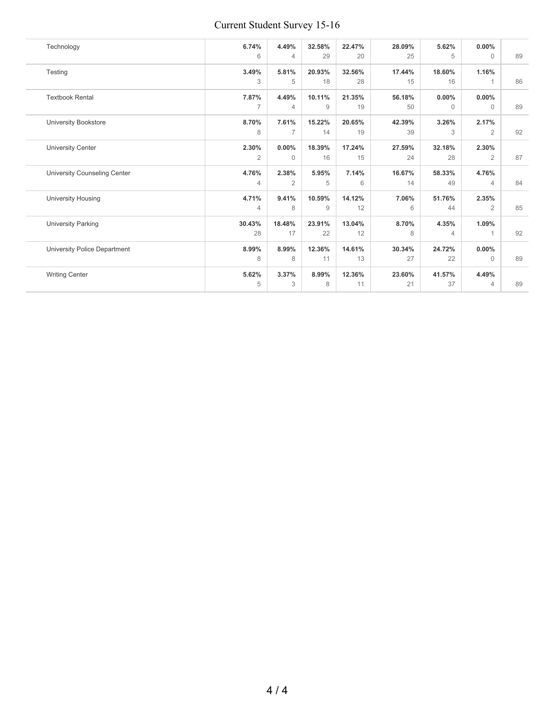## Current Student Survey 15-16

| Technology                   | 6.74%          | 4.49%          | 32.58%         | 22.47% | 28.09% | 5.62%          | $0.00\%$       |    |
|------------------------------|----------------|----------------|----------------|--------|--------|----------------|----------------|----|
|                              | 6              | $\overline{4}$ | 29             | 20     | 25     | 5              | $\Omega$       | 89 |
| Testing                      | 3.49%          | 5.81%          | 20.93%         | 32.56% | 17.44% | 18.60%         | 1.16%          |    |
|                              | 3              | 5              | 18             | 28     | 15     | 16             | 1              |    |
| <b>Textbook Rental</b>       | 7.87%          | 4.49%          | 10.11%         | 21.35% | 56.18% | 0.00%          | $0.00\%$       |    |
|                              | $\overline{7}$ | $\overline{4}$ | $\overline{9}$ | 19     | 50     | $\mathbf{0}$   | $\Omega$       |    |
| <b>University Bookstore</b>  | 8.70%          | 7.61%          | 15.22%         | 20.65% | 42.39% | 3.26%          | 2.17%          |    |
|                              | 8              | $\overline{7}$ | 14             | 19     | 39     | 3              | $\overline{2}$ |    |
| <b>University Center</b>     | 2.30%          | $0.00\%$       | 18.39%         | 17.24% | 27.59% | 32.18%         | 2.30%          |    |
|                              | 2              | $\Omega$       | 16             | 15     | 24     | 28             | $\overline{2}$ |    |
| University Counseling Center | 4.76%          | 2.38%          | 5.95%          | 7.14%  | 16.67% | 58.33%         | 4.76%          |    |
|                              | $\overline{4}$ | 2              | 5              | 6      | 14     | 49             | $\overline{4}$ |    |
| University Housing           | 4.71%          | 9.41%          | 10.59%         | 14.12% | 7.06%  | 51.76%         | 2.35%          |    |
|                              | $\overline{4}$ | 8              | $\overline{9}$ | 12     | 6      | 44             | $\overline{2}$ |    |
| <b>University Parking</b>    | 30.43%         | 18.48%         | 23.91%         | 13.04% | 8.70%  | 4.35%          | 1.09%          |    |
|                              | 28             | 17             | 22             | 12     | 8      | $\overline{4}$ |                |    |
| University Police Department | 8.99%          | 8.99%          | 12.36%         | 14.61% | 30.34% | 24.72%         | $0.00\%$       |    |
|                              | 8              | 8              | 11             | 13     | 27     | 22             | $\Omega$       |    |
| <b>Writing Center</b>        | 5.62%          | 3.37%          | 8.99%          | 12.36% | 23.60% | 41.57%         | 4.49%          |    |
|                              | 5              | 3              | 8              | 11     | 21     | 37             | 4              |    |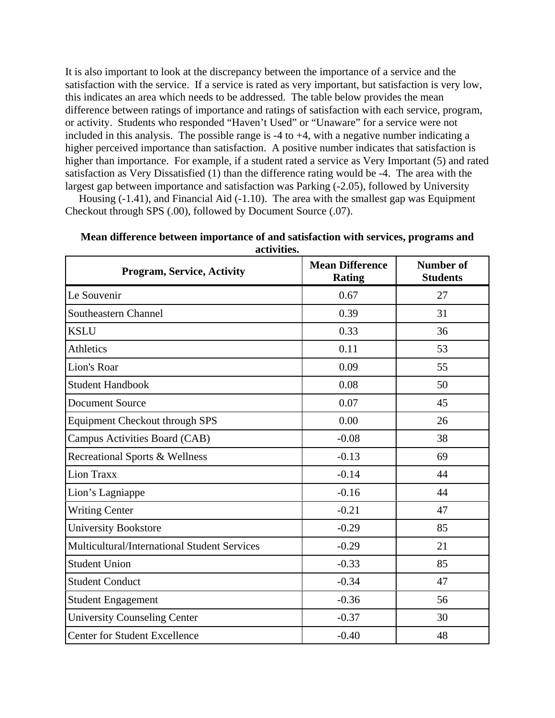It is also important to look at the discrepancy between the importance of a service and the satisfaction with the service. If a service is rated as very important, but satisfaction is very low, this indicates an area which needs to be addressed. The table below provides the mean difference between ratings of importance and ratings of satisfaction with each service, program, or activity. Students who responded "Haven't Used" or "Unaware" for a service were not included in this analysis. The possible range is  $-4$  to  $+4$ , with a negative number indicating a higher perceived importance than satisfaction. A positive number indicates that satisfaction is higher than importance. For example, if a student rated a service as Very Important (5) and rated satisfaction as Very Dissatisfied (1) than the difference rating would be -4. The area with the largest gap between importance and satisfaction was Parking (-2.05), followed by University

 Housing (-1.41), and Financial Aid (-1.10). The area with the smallest gap was Equipment Checkout through SPS (.00), followed by Document Source (.07).

| Mean difference between importance of and satisfaction with services, programs and |  |
|------------------------------------------------------------------------------------|--|
| activities.                                                                        |  |

| <b>Program, Service, Activity</b>                   | <b>Mean Difference</b><br><b>Rating</b> | <b>Number of</b><br><b>Students</b> |
|-----------------------------------------------------|-----------------------------------------|-------------------------------------|
| Le Souvenir                                         | 0.67                                    | 27                                  |
| Southeastern Channel                                | 0.39                                    | 31                                  |
| <b>KSLU</b>                                         | 0.33                                    | 36                                  |
| <b>Athletics</b>                                    | 0.11                                    | 53                                  |
| Lion's Roar                                         | 0.09                                    | 55                                  |
| <b>Student Handbook</b>                             | 0.08                                    | 50                                  |
| <b>Document Source</b>                              | 0.07                                    | 45                                  |
| Equipment Checkout through SPS                      | 0.00                                    | 26                                  |
| Campus Activities Board (CAB)                       | $-0.08$                                 | 38                                  |
| Recreational Sports & Wellness                      | $-0.13$                                 | 69                                  |
| Lion Traxx                                          | $-0.14$                                 | 44                                  |
| Lion's Lagniappe                                    | $-0.16$                                 | 44                                  |
| <b>Writing Center</b>                               | $-0.21$                                 | 47                                  |
| <b>University Bookstore</b>                         | $-0.29$                                 | 85                                  |
| <b>Multicultural/International Student Services</b> | $-0.29$                                 | 21                                  |
| <b>Student Union</b>                                | $-0.33$                                 | 85                                  |
| <b>Student Conduct</b>                              | $-0.34$                                 | 47                                  |
| <b>Student Engagement</b>                           | $-0.36$                                 | 56                                  |
| <b>University Counseling Center</b>                 | $-0.37$                                 | 30                                  |
| <b>Center for Student Excellence</b>                | $-0.40$                                 | 48                                  |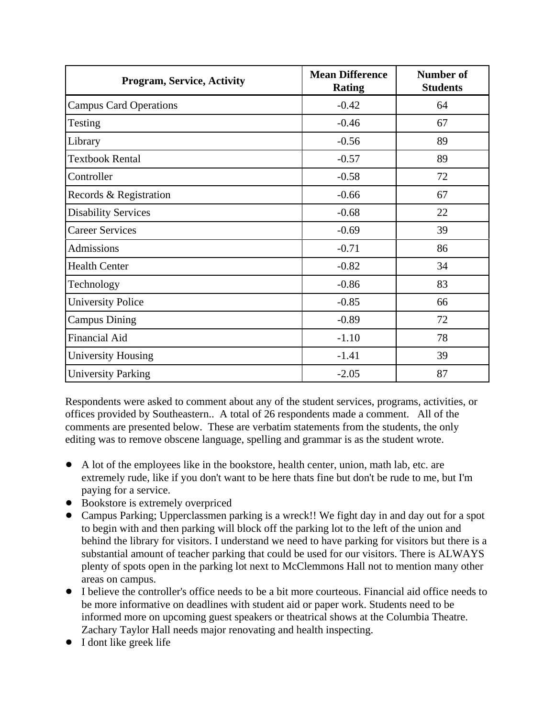| <b>Program, Service, Activity</b> | <b>Mean Difference</b><br><b>Rating</b> | <b>Number of</b><br><b>Students</b> |
|-----------------------------------|-----------------------------------------|-------------------------------------|
| <b>Campus Card Operations</b>     | $-0.42$                                 | 64                                  |
| Testing                           | $-0.46$                                 | 67                                  |
| Library                           | $-0.56$                                 | 89                                  |
| <b>Textbook Rental</b>            | $-0.57$                                 | 89                                  |
| Controller                        | $-0.58$                                 | 72                                  |
| Records & Registration            | $-0.66$                                 | 67                                  |
| <b>Disability Services</b>        | $-0.68$                                 | 22                                  |
| <b>Career Services</b>            | $-0.69$                                 | 39                                  |
| <b>Admissions</b>                 | $-0.71$                                 | 86                                  |
| <b>Health Center</b>              | $-0.82$                                 | 34                                  |
| Technology                        | $-0.86$                                 | 83                                  |
| <b>University Police</b>          | $-0.85$                                 | 66                                  |
| <b>Campus Dining</b>              | $-0.89$                                 | 72                                  |
| <b>Financial Aid</b>              | $-1.10$                                 | 78                                  |
| <b>University Housing</b>         | $-1.41$                                 | 39                                  |
| <b>University Parking</b>         | $-2.05$                                 | 87                                  |

Respondents were asked to comment about any of the student services, programs, activities, or offices provided by Southeastern.. A total of 26 respondents made a comment. All of the comments are presented below. These are verbatim statements from the students, the only editing was to remove obscene language, spelling and grammar is as the student wrote.

- A lot of the employees like in the bookstore, health center, union, math lab, etc. are extremely rude, like if you don't want to be here thats fine but don't be rude to me, but I'm paying for a service.
- Bookstore is extremely overpriced
- ! Campus Parking; Upperclassmen parking is a wreck!! We fight day in and day out for a spot to begin with and then parking will block off the parking lot to the left of the union and behind the library for visitors. I understand we need to have parking for visitors but there is a substantial amount of teacher parking that could be used for our visitors. There is ALWAYS plenty of spots open in the parking lot next to McClemmons Hall not to mention many other areas on campus.
- ! I believe the controller's office needs to be a bit more courteous. Financial aid office needs to be more informative on deadlines with student aid or paper work. Students need to be informed more on upcoming guest speakers or theatrical shows at the Columbia Theatre. Zachary Taylor Hall needs major renovating and health inspecting.
- I dont like greek life